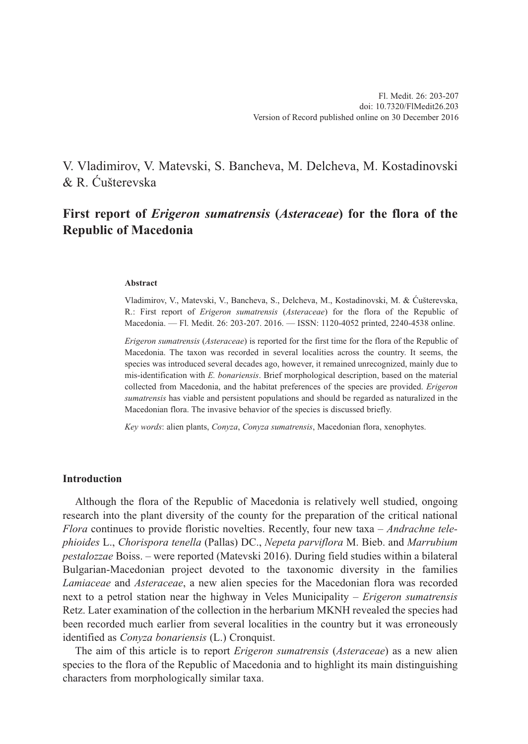V. Vladimirov, V. Matevski, S. Bancheva, M. Delcheva, M. Kostadinovski & R. Ćušterevska

# **First report of** *Erigeron sumatrensis* **(***Asteraceae***) for the flora of the Republic of Macedonia**

### **Abstract**

Vladimirov, V., Matevski, V., Bancheva, S., Delcheva, M., Kostadinovski, M. & Ćušterevska, R.: First report of *Erigeron sumatrensis* (*Asteraceae*) for the flora of the Republic of Macedonia. — Fl. Medit. 26: 203-207. 2016. — ISSN: 1120-4052 printed, 2240-4538 online.

*Erigeron sumatrensis* (*Asteraceae*) is reported for the first time for the flora of the Republic of Macedonia. The taxon was recorded in several localities across the country. It seems, the species was introduced several decades ago, however, it remained unrecognized, mainly due to mis-identification with *E. bonariensis*. Brief morphological description, based on the material collected from Macedonia, and the habitat preferences of the species are provided. *Erigeron sumatrensis* has viable and persistent populations and should be regarded as naturalized in the Macedonian flora. The invasive behavior of the species is discussed briefly.

*Key words*: alien plants, *Conyza*, *Conyza sumatrensis*, Macedonian flora, xenophytes.

### **Introduction**

Although the flora of the Republic of Macedonia is relatively well studied, ongoing research into the plant diversity of the county for the preparation of the critical national *Flora* continues to provide floristic novelties. Recently, four new taxa – *Andrachne telephioides* L., *Chorispora tenella* (Pallas) DC., *Nepeta parviflora* M. Bieb. and *Marrubium pestalozzae* Boiss. – were reported (Matevski 2016). During field studies within a bilateral Bulgarian-Macedonian project devoted to the taxonomic diversity in the families *Lamiaceae* and *Asteraceae*, a new alien species for the Macedonian flora was recorded next to a petrol station near the highway in Veles Municipality – *Erigeron sumatrensis* Retz. Later examination of the collection in the herbarium MKNH revealed the species had been recorded much earlier from several localities in the country but it was erroneously identified as *Conyza bonariensis* (L.) Cronquist.

The aim of this article is to report *Erigeron sumatrensis* (*Asteraceae*) as a new alien species to the flora of the Republic of Macedonia and to highlight its main distinguishing characters from morphologically similar taxa.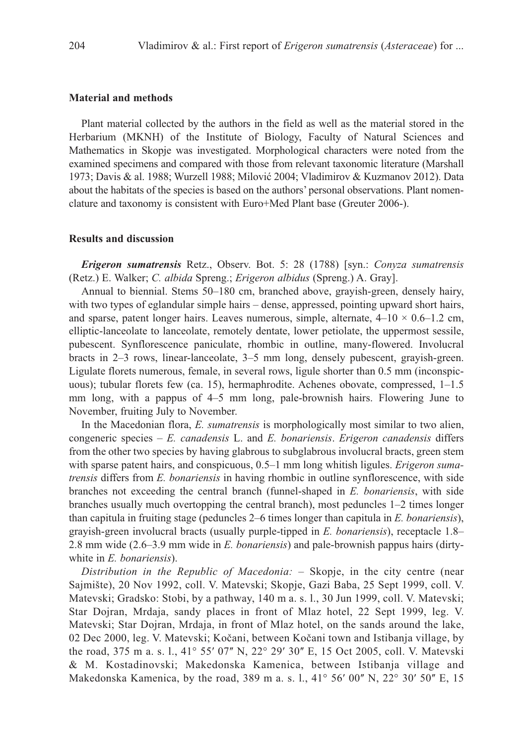## **Material and methods**

Plant material collected by the authors in the field as well as the material stored in the Herbarium (MKNH) of the Institute of Biology, Faculty of Natural Sciences and Mathematics in Skopje was investigated. Morphological characters were noted from the examined specimens and compared with those from relevant taxonomic literature (Marshall 1973; Davis & al. 1988; Wurzell 1988; Milović 2004; Vladimirov & Kuzmanov 2012). Data about the habitats of the species is based on the authors' personal observations. Plant nomenclature and taxonomy is consistent with Euro+Med Plant base (Greuter 2006-).

### **Results and discussion**

*Erigeron sumatrensis* Retz., Observ. Bot. 5: 28 (1788) [syn.: *Conyza sumatrensis* (Retz.) E. Walker; *C. albida* Spreng.; *Erigeron albidus* (Spreng.) A. Gray].

Annual to biennial. Stems 50–180 cm, branched above, grayish-green, densely hairy, with two types of eglandular simple hairs – dense, appressed, pointing upward short hairs, and sparse, patent longer hairs. Leaves numerous, simple, alternate,  $4-10 \times 0.6-1.2$  cm, elliptic-lanceolate to lanceolate, remotely dentate, lower petiolate, the uppermost sessile, pubescent. Synflorescence paniculate, rhombic in outline, many-flowered. Involucral bracts in 2–3 rows, linear-lanceolate, 3–5 mm long, densely pubescent, grayish-green. Ligulate florets numerous, female, in several rows, ligule shorter than 0.5 mm (inconspicuous); tubular florets few (ca. 15), hermaphrodite. Achenes obovate, compressed, 1–1.5 mm long, with a pappus of 4–5 mm long, pale-brownish hairs. Flowering June to November, fruiting July to November.

In the Macedonian flora, *E. sumatrensis* is morphologically most similar to two alien, congeneric species – *E. canadensis* L. and *E. bonariensis*. *Erigeron canadensis* differs from the other two species by having glabrous to subglabrous involucral bracts, green stem with sparse patent hairs, and conspicuous, 0.5–1 mm long whitish ligules. *Erigeron sumatrensis* differs from *E. bonariensis* in having rhombic in outline synflorescence, with side branches not exceeding the central branch (funnel-shaped in *E. bonariensis*, with side branches usually much overtopping the central branch), most peduncles 1–2 times longer than capitula in fruiting stage (peduncles 2–6 times longer than capitula in *E. bonariensis*), grayish-green involucral bracts (usually purple-tipped in *E. bonariensis*), receptacle 1.8– 2.8 mm wide (2.6–3.9 mm wide in *E. bonariensis*) and pale-brownish pappus hairs (dirtywhite in *E. bonariensis*).

*Distribution in the Republic of Macedonia:* – Skopje, in the city centre (near Sajmište), 20 Nov 1992, coll. V. Matevski; Skopje, Gazi Baba, 25 Sept 1999, coll. V. Matevski; Gradsko: Stobi, by a pathway, 140 m a. s. l., 30 Jun 1999, coll. V. Matevski; Star Dojran, Mrdaja, sandy places in front of Mlaz hotel, 22 Sept 1999, leg. V. Matevski; Star Dojran, Mrdaja, in front of Mlaz hotel, on the sands around the lake, 02 Dec 2000, leg. V. Matevski; Kočani, between Kočani town and Istibanja village, by the road, 375 m a. s. l., 41° 55′ 07″ N, 22° 29′ 30″ E, 15 Oct 2005, coll. V. Matevski & M. Kostadinovski; Makedonska Kamenica, between Istibanja village and Makedonska Kamenica, by the road, 389 m a. s. l.,  $41^{\circ}$  56' 00" N, 22 $^{\circ}$  30' 50" E, 15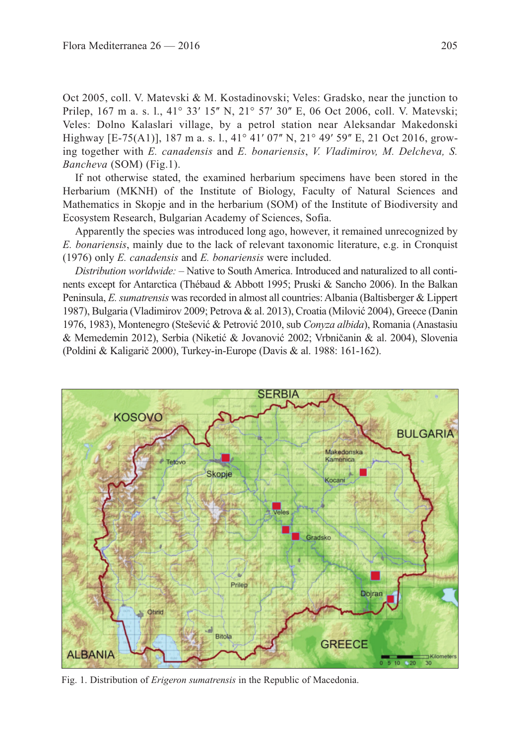Oct 2005, coll. V. Matevski & M. Kostadinovski; Veles: Gradsko, near the junction to Prilep, 167 m a. s. l., 41° 33′ 15″ N, 21° 57′ 30″ E, 06 Oct 2006, coll. V. Matevski; Veles: Dolno Kalaslari village, by a petrol station near Aleksandar Makedonski Highway [E-75(A1)], 187 m a. s. l., 41<sup>o</sup> 41' 07" N, 21<sup>o</sup> 49' 59" E, 21 Oct 2016, growing together with *E. canadensis* and *E. bonariensis*, *V. Vladimirov, M. Delcheva, S. Bancheva* (SOM) (Fig.1).

If not otherwise stated, the examined herbarium specimens have been stored in the Herbarium (MKNH) of the Institute of Biology, Faculty of Natural Sciences and Mathematics in Skopje and in the herbarium (SOM) of the Institute of Biodiversity and Ecosystem Research, Bulgarian Academy of Sciences, Sofia.

Apparently the species was introduced long ago, however, it remained unrecognized by *E. bonariensis*, mainly due to the lack of relevant taxonomic literature, e.g. in Cronquist (1976) only *E. canadensis* and *E. bonariensis* were included.

*Distribution worldwide:* – Native to South America. Introduced and naturalized to all continents except for Antarctica (Thébaud & Abbott 1995; Pruski & Sancho 2006). In the Balkan Peninsula, *E. sumatrensis* was recorded in almost all countries: Albania (Baltisberger & Lippert 1987), Bulgaria (Vladimirov 2009; Petrova & al. 2013), Croatia (Milović 2004), Greece (Danin 1976, 1983), Montenegro (Stešević & Petrović 2010, sub *Conyza albida*), Romania (Anastasiu & Memedemin 2012), Serbia (Niketić & Jovanović 2002; Vrbničanin & al. 2004), Slovenia (Poldini & Kaligarič 2000), Turkey-in-Europe (Davis & al. 1988: 161-162).



Fig. 1. Distribution of *Erigeron sumatrensis* in the Republic of Macedonia.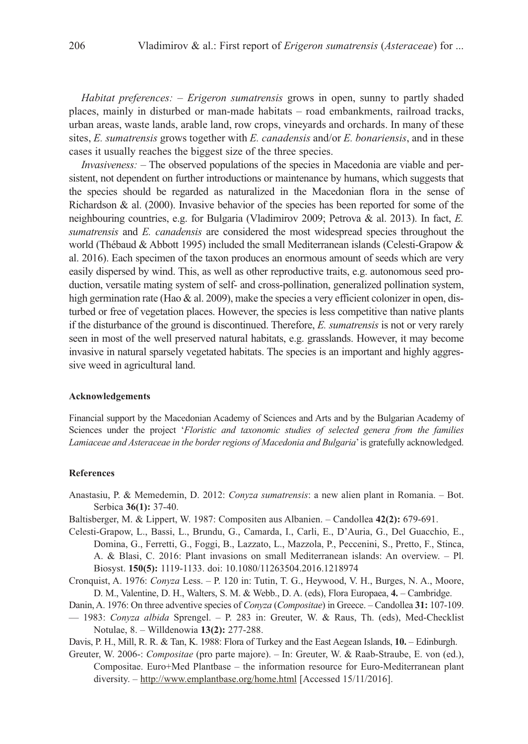*Habitat preferences:* – *Erigeron sumatrensis* grows in open, sunny to partly shaded places, mainly in disturbed or man-made habitats – road embankments, railroad tracks, urban areas, waste lands, arable land, row crops, vineyards and orchards. In many of these sites, *E. sumatrensis* grows together with *E. canadensis* and/or *E. bonariensis*, and in these cases it usually reaches the biggest size of the three species.

*Invasiveness:* – The observed populations of the species in Macedonia are viable and persistent, not dependent on further introductions or maintenance by humans, which suggests that the species should be regarded as naturalized in the Macedonian flora in the sense of Richardson & al. (2000). Invasive behavior of the species has been reported for some of the neighbouring countries, e.g. for Bulgaria (Vladimirov 2009; Petrova & al. 2013). In fact, *E. sumatrensis* and *E. canadensis* are considered the most widespread species throughout the world (Thébaud & Abbott 1995) included the small Mediterranean islands (Celesti-Grapow & al. 2016). Each specimen of the taxon produces an enormous amount of seeds which are very easily dispersed by wind. This, as well as other reproductive traits, e.g. autonomous seed production, versatile mating system of self- and cross-pollination, generalized pollination system, high germination rate (Hao & al. 2009), make the species a very efficient colonizer in open, disturbed or free of vegetation places. However, the species is less competitive than native plants if the disturbance of the ground is discontinued. Therefore, *E. sumatrensis* is not or very rarely seen in most of the well preserved natural habitats, e.g. grasslands. However, it may become invasive in natural sparsely vegetated habitats. The species is an important and highly aggressive weed in agricultural land.

#### **Acknowledgements**

Financial support by the Macedonian Academy of Sciences and Arts and by the Bulgarian Academy of Sciences under the project '*Floristic and taxonomic studies of selected genera from the families Lamiaceae and Asteraceae in the border regions of Macedonia and Bulgaria*' is gratefully acknowledged.

### **References**

- Anastasiu, P. & Memedemin, D. 2012: *Conyza sumatrensis*: a new alien plant in Romania. Bot. Serbica **36(1):** 37-40.
- Baltisberger, M. & Lippert, W. 1987: Compositen aus Albanien. Candollea **42(2):** 679-691.
- Celesti-Grapow, L., Bassi, L., Brundu, G., Camarda, I., Carli, E., D'Auria, G., Del Guacchio, E., Domina, G., Ferretti, G., Foggi, B., Lazzato, L., Mazzola, P., Peccenini, S., Pretto, F., Stinca, A. & Blasi, C. 2016: Plant invasions on small Mediterranean islands: An overview. – Pl. Biosyst. **150(5):** 1119-1133. doi: 10.1080/11263504.2016.1218974
- Cronquist, A. 1976: *Conyza* Less. P. 120 in: Tutin, T. G., Heywood, V. H., Burges, N. A., Moore, D. M., Valentine, D. H., Walters, S. M. & Webb., D. A. (eds), Flora Europaea, **4.** – Cambridge.
- Danin, A. 1976: On three adventive species of *Conyza* (*Compositae*) in Greece. Candollea **31:** 107-109.
- 1983: *Conyza albida* Sprengel. P. 283 in: Greuter, W. & Raus, Th. (eds), Med-Checklist Notulae, 8. – Willdenowia **13(2):** 277-288.
- Davis, P. H., Mill, R. R. & Tan, K. 1988: Flora of Turkey and the East Aegean Islands, **10.** Edinburgh.
- Greuter, W. 2006-: *Compositae* (pro parte majore). In: Greuter, W. & Raab-Straube, E. von (ed.), Compositae. Euro+Med Plantbase – the information resource for Euro-Mediterranean plant diversity. – http://www.emplantbase.org/home.html [Accessed 15/11/2016].